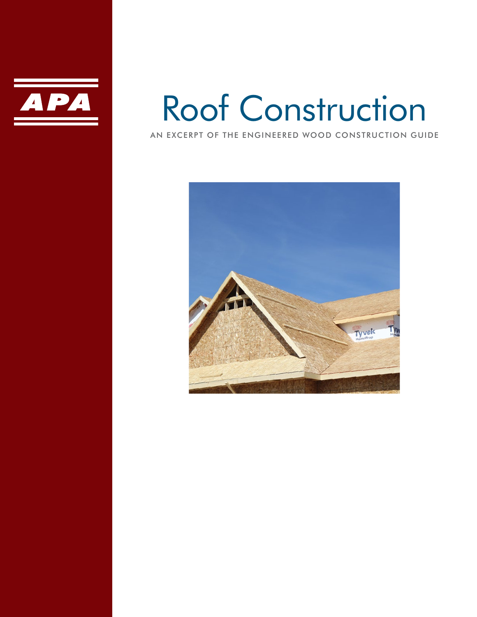

# Roof Construction

AN EXCERPT OF THE ENGINEERED WOOD CONSTRUCTION GUIDE

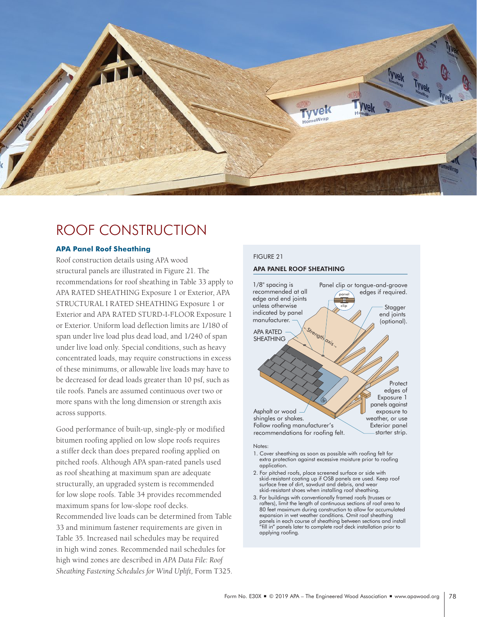

# ROOF CONSTRUCTION

# **APA Panel Roof Sheathing**

Roof construction details using APA wood structural panels are illustrated in Figure 21. The recommendations for roof sheathing in Table 33 apply to APA RATED SHEATHING Exposure 1 or Exterior, APA STRUCTURAL I RATED SHEATHING Exposure 1 or Exterior and APA RATED STURD-I-FLOOR Exposure 1 or Exterior. Uniform load deflection limits are 1/180 of span under live load plus dead load, and 1/240 of span under live load only. Special conditions, such as heavy concentrated loads, may require constructions in excess of these minimums, or allowable live loads may have to be decreased for dead loads greater than 10 psf, such as tile roofs. Panels are assumed continuous over two or more spans with the long dimension or strength axis across supports.

Good performance of built-up, single-ply or modified bitumen roofing applied on low slope roofs requires a stiffer deck than does prepared roofing applied on pitched roofs. Although APA span-rated panels used as roof sheathing at maximum span are adequate structurally, an upgraded system is recommended for low slope roofs. Table 34 provides recommended maximum spans for low-slope roof decks. Recommended live loads can be determined from Table 33 and minimum fastener requirements are given in Table 35. Increased nail schedules may be required in high wind zones. Recommended nail schedules for high wind zones are described in *APA Data File: Roof Sheathing Fastening Schedules for Wind Uplift,* Form T325.

# FIGURE 21

# APA PANEL ROOF SHEATHING



#### Notes:

- 1. Cover sheathing as soon as possible with roofing felt for extra protection against excessive moisture prior to roofing application.
- 2. For pitched roofs, place screened surface or side with skid-resistant coating up if OSB panels are used. Keep roof surface free of dirt, sawdust and debris, and wear skid-resistant shoes when installing roof sheathing.
- 3. For buildings with conventionally framed roofs (trusses or rafters), limit the length of continuous sections of roof area to 80 feet maximum during construction to allow for accumulated expansion in wet weather conditions. Omit roof sheathing panels in each course of sheathing between sections and install "fill in" panels later to complete roof deck installation prior to applying roofing.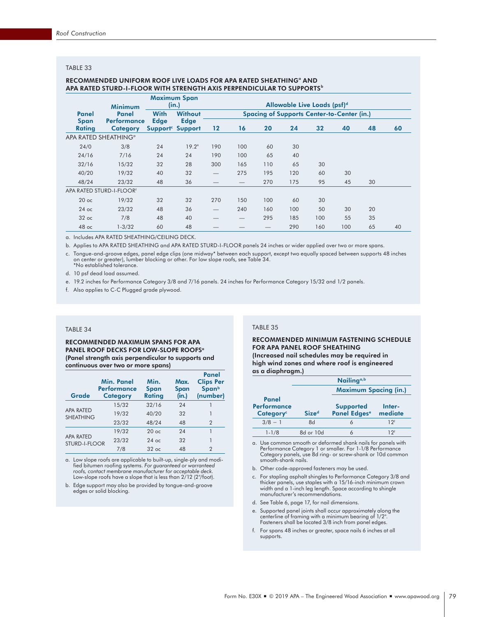# TABLE 33

#### RECOMMENDED UNIFORM ROOF LIVE LOADS FOR APA RATED SHEATHING° AND APA RATED STURD-I-FLOOR WITH STRENGTH AXIS PERPENDICULAR TO SUPPORTS<sup>b</sup>

|                  | <b>Minimum</b>                        |             | <b>Maximum Span</b><br>(in.)                |         |     |     | Allowable Live Loads (psf) <sup>d</sup> |     |                                                   |    |    |
|------------------|---------------------------------------|-------------|---------------------------------------------|---------|-----|-----|-----------------------------------------|-----|---------------------------------------------------|----|----|
| Panel            | Panel                                 | <b>With</b> | <b>Without</b>                              |         |     |     |                                         |     | <b>Spacing of Supports Center-to-Center (in.)</b> |    |    |
| Span<br>Rating   | <b>Performance</b><br><b>Category</b> | <b>Edge</b> | <b>Edge</b><br>Support <sup>c</sup> Support | $12 \,$ | 16  | 20  | 24                                      | 32  | 40                                                | 48 | 60 |
|                  | APA RATED SHEATHING <sup>®</sup>      |             |                                             |         |     |     |                                         |     |                                                   |    |    |
| 24/0             | 3/8                                   | 24          | $19.2^{\circ}$                              | 190     | 100 | 60  | 30                                      |     |                                                   |    |    |
| 24/16            | 7/16                                  | 24          | 24                                          | 190     | 100 | 65  | 40                                      |     |                                                   |    |    |
| 32/16            | 15/32                                 | 32          | 28                                          | 300     | 165 | 110 | 65                                      | 30  |                                                   |    |    |
| 40/20            | 19/32                                 | 40          | 32                                          |         | 275 | 195 | 120                                     | 60  | 30                                                |    |    |
| 48/24            | 23/32                                 | 48          | 36                                          |         |     | 270 | 175                                     | 95  | 45                                                | 30 |    |
|                  | APA RATED STURD-I-FLOOR <sup>4</sup>  |             |                                             |         |     |     |                                         |     |                                                   |    |    |
| 20 <sub>oc</sub> | 19/32                                 | 32          | 32                                          | 270     | 150 | 100 | 60                                      | 30  |                                                   |    |    |
| $24$ oc          | 23/32                                 | 48          | 36                                          |         | 240 | 160 | 100                                     | 50  | 30                                                | 20 |    |
| $32$ oc          | 7/8                                   | 48          | 40                                          |         |     | 295 | 185                                     | 100 | 55                                                | 35 |    |
| $48$ oc          | $1 - 3/32$                            | 60          | 48                                          |         |     |     | 290                                     | 160 | 100                                               | 65 | 40 |

a. Includes APA RATED SHEATHING/CEILING DECK.

b. Applies to APA RATED SHEATHING and APA RATED STURD-I-FLOOR panels 24 inches or wider applied over two or more spans.

c. Tongue-and-groove edges, panel edge clips (one midway\* between each support, except two equally spaced between supports 48 inches on center or greater), lumber blocking or other. For low slope roofs, see Table 34. \*No established tolerance.

d. 10 psf dead load assumed.

e. 19.2 inches for Performance Category 3/8 and 7/16 panels. 24 inches for Performance Category 15/32 and 1/2 panels.

f. Also applies to C-C Plugged grade plywood.

#### TABLE 34

RECOMMENDED MAXIMUM SPANS FOR APA PANEL ROOF DECKS FOR LOW-SLOPE ROOFS<sup>a</sup> (Panel strength axis perpendicular to supports and continuous over two or more spans)

| Grade                                | Min. Panel<br><b>Performance</b><br><b>Category</b> | Min.<br><b>Span</b><br>Rating | Max.<br><b>Span</b><br>(in.) | Panel<br><b>Clips Per</b><br><b>Span</b> b<br>(number) |
|--------------------------------------|-----------------------------------------------------|-------------------------------|------------------------------|--------------------------------------------------------|
|                                      | 15/32                                               | 32/16                         | 24                           |                                                        |
| <b>APA RATED</b><br><b>SHEATHING</b> | 19/32                                               | 40/20                         | 32                           |                                                        |
|                                      | 23/32                                               | 48/24                         | 48                           | 2                                                      |
|                                      | 19/32                                               | $20$ oc                       | 24                           |                                                        |
| <b>APA RATED</b><br>STURD-I-FLOOR    | 23/32                                               | $24$ oc                       | 32                           |                                                        |
|                                      | 7/8                                                 | $32 \text{ oc}$               | 48                           | $\mathcal{P}$                                          |

a. Low slope roofs are applicable to built-up, single-ply and modified bitumen roofing systems. *For guaranteed or warranteed roofs, contact membrane manufacturer for acceptable deck.*  Low-slope roofs have a slope that is less than 2/12 (2"/foot).

b. Edge support may also be provided by tongue-and-groove edges or solid blocking.

#### TABLE 35

#### RECOMMENDED MINIMUM FASTENING SCHEDULE FOR APA PANEL ROOF SHEATHING (Increased nail schedules may be required in high wind zones and where roof is engineered as a diaphragm.)

| www.wiw.huttan.huttan.h                       |              | Nailing <sup><math>a,b</math></sup>          |                   |
|-----------------------------------------------|--------------|----------------------------------------------|-------------------|
|                                               |              | <b>Maximum Spacing (in.)</b>                 |                   |
| Panel<br>Performance<br>Category <sup>c</sup> | <b>Sized</b> | <b>Supported</b><br>Panel Edges <sup>e</sup> | Inter-<br>mediate |
| $3/8 - 1$                                     | 8d           | 6                                            | 12 <sup>f</sup>   |
| $1 - 1/8$                                     | 8d or 10d    |                                              | 1 2f              |

a. Use common smooth or deformed shank nails for panels with Performance Category 1 or smaller. For 1-1/8 Performance Category panels, use 8d ring- or screw-shank or 10d common smooth-shank nails.

- b. Other code-approved fasteners may be used.
- c. For stapling asphalt shingles to Performance Category 3/8 and thicker panels, use staples with a 15/16-inch minimum crown width and a 1-inch leg length. Space according to shingle manufacturer's recommendations.
- d. See Table 6, page 17, for nail dimensions.
- e. Supported panel joints shall occur approximately along the centerline of framing with a minimum bearing of 1/2". Fasteners shall be located 3/8 inch from panel edges.
- f. For spans 48 inches or greater, space nails 6 inches at all supports.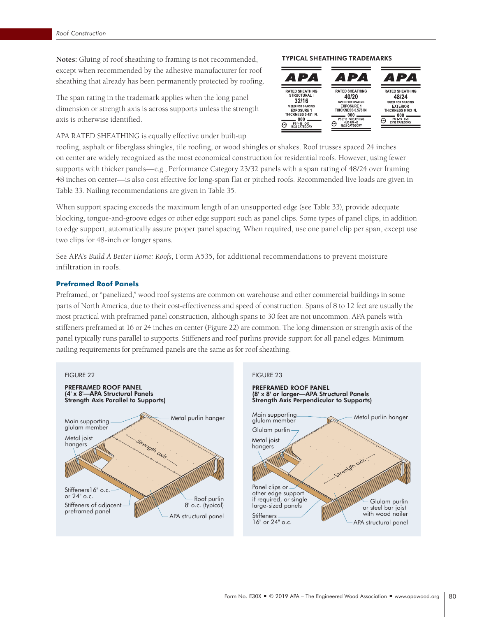**Notes:** Gluing of roof sheathing to framing is not recommended, except when recommended by the adhesive manufacturer for roof sheathing that already has been permanently protected by roofing.

The span rating in the trademark applies when the long panel dimension or strength axis is across supports unless the strength axis is otherwise identified.

APA RATED SHEATHING is equally effective under built-up

roofing, asphalt or fiberglass shingles, tile roofing, or wood shingles or shakes. Roof trusses spaced 24 inches on center are widely recognized as the most economical construction for residential roofs. However, using fewer supports with thicker panels—e.g., Performance Category 23/32 panels with a span rating of 48/24 over framing 48 inches on center—is also cost effective for long-span flat or pitched roofs. Recommended live loads are given in Table 33. Nailing recommendations are given in Table 35.

When support spacing exceeds the maximum length of an unsupported edge (see Table 33), provide adequate blocking, tongue-and-groove edges or other edge support such as panel clips. Some types of panel clips, in addition to edge support, automatically assure proper panel spacing. When required, use one panel clip per span, except use two clips for 48-inch or longer spans.

See APA's *Build A Better Home: Roofs,* Form A535, for additional recommendations to prevent moisture infiltration in roofs.

# **Preframed Roof Panels**

Preframed, or "panelized," wood roof systems are common on warehouse and other commercial buildings in some parts of North America, due to their cost-effectiveness and speed of construction. Spans of 8 to 12 feet are usually the most practical with preframed panel construction, although spans to 30 feet are not uncommon. APA panels with stiffeners preframed at 16 or 24 inches on center (Figure 22) are common. The long dimension or strength axis of the panel typically runs parallel to supports. Stiffeners and roof purlins provide support for all panel edges. Minimum nailing requirements for preframed panels are the same as for roof sheathing.



# TYPICAL SHEATHING TRADEMARKS

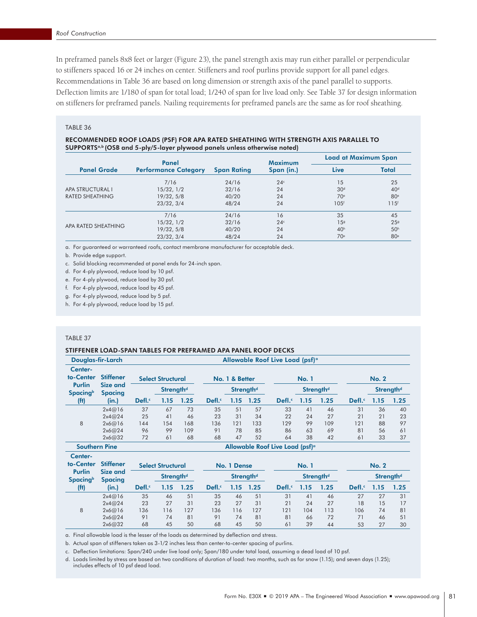In preframed panels 8x8 feet or larger (Figure 23), the panel strength axis may run either parallel or perpendicular to stiffeners spaced 16 or 24 inches on center. Stiffeners and roof purlins provide support for all panel edges. Recommendations in Table 36 are based on long dimension or strength axis of the panel parallel to supports. Deflection limits are 1/180 of span for total load; 1/240 of span for live load only. See Table 37 for design information on stiffeners for preframed panels. Nailing requirements for preframed panels are the same as for roof sheathing.

## TABLE 36

### RECOMMENDED ROOF LOADS (PSF) FOR APA RATED SHEATHING WITH STRENGTH AXIS PARALLEL TO SUPPORTSa,b (OSB and 5-ply/5-layer plywood panels unless otherwise noted)

|                        | Panel                       |                    | <b>Maximum</b>  | <b>Load at Maximum Span</b> |                  |  |
|------------------------|-----------------------------|--------------------|-----------------|-----------------------------|------------------|--|
| <b>Panel Grade</b>     | <b>Performance Category</b> | <b>Span Rating</b> | Span (in.)      | Live                        | <b>Total</b>     |  |
|                        | 7/16                        | 24/16              | 24 <sup>c</sup> | 15                          | 25               |  |
| APA STRUCTURAL I       | 15/32, 1/2                  | 32/16              | 24              | 30 <sup>d</sup>             | 40 <sup>d</sup>  |  |
| <b>RATED SHEATHING</b> | 19/32, 5/8                  | 40/20              | 24              | 70 <sup>e</sup>             | 80 <sup>e</sup>  |  |
|                        | 23/32, 3/4                  | 48/24              | 24              | 105 <sup>6</sup>            | 115 <sup>f</sup> |  |
|                        | 7/16                        | 24/16              | 16              | 35                          | 45               |  |
|                        | 15/32, 1/2                  | 32/16              | 24 <sup>c</sup> | 1.59                        | 25 <sup>9</sup>  |  |
| APA RATED SHEATHING    | 19/32, 5/8                  | 40/20              | 24              | 40 <sup>h</sup>             | 50 <sup>h</sup>  |  |
|                        | 23/32, 3/4                  | 48/24              | 24              | 70 <sup>e</sup>             | 80 <sup>e</sup>  |  |

a. For guaranteed or warranteed roofs, contact membrane manufacturer for acceptable deck.

b. Provide edge support.

c. Solid blocking recommended at panel ends for 24-inch span.

d. For 4-ply plywood, reduce load by 10 psf.

e. For 4-ply plywood, reduce load by 30 psf.

f. For 4-ply plywood, reduce load by 45 psf.

g. For 4-ply plywood, reduce load by 5 psf.

h. For 4-ply plywood, reduce load by 15 psf.

### TABLE 37

Center-

# STIFFENER LOAD-SPAN TABLES FOR PREFRAMED APA PANEL ROOF DECKS

| Douglas-fir-Larch                                        |                  | Allowable Roof Live Load (psf) <sup>a</sup> |                          |      |       |                       |      |       |                       |      |       |                       |      |
|----------------------------------------------------------|------------------|---------------------------------------------|--------------------------|------|-------|-----------------------|------|-------|-----------------------|------|-------|-----------------------|------|
| Center-<br>to-Center                                     | <b>Stiffener</b> |                                             | <b>Select Structural</b> |      |       | No. 1 & Better        |      |       | <b>No. 1</b>          |      |       | <b>No. 2</b>          |      |
| Purlin<br>Size and<br><b>Spacing</b> b<br><b>Spacing</b> |                  |                                             | Strength <sup>d</sup>    |      |       | Strength <sup>d</sup> |      |       | Strength <sup>d</sup> |      |       | Strength <sup>d</sup> |      |
| (f <sup>t</sup> )                                        | (in.)            | Defl.                                       | 1.15                     | 1.25 | Defl. | 1.15                  | 1.25 | Defl. | 1.15                  | 1.25 | Defl. | 1.15                  | 1.25 |
|                                                          | 2x4@16           | 37                                          | 67                       | 73   | 35    | 51                    | 57   | 33    | 41                    | 46   | 31    | 36                    | 40   |
|                                                          | 2x4@24           | 25                                          | 41                       | 46   | 23    | 31                    | 34   | 22    | 24                    | 27   | 21    | 21                    | 23   |
| 8                                                        | 2x6@16           | 144                                         | 154                      | 168  | 136   | 121                   | 133  | 129   | 99                    | 109  | 121   | 88                    | 97   |
|                                                          | 2x6@24           | 96                                          | 99                       | 109  | 91    | 78                    | 85   | 86    | 63                    | 69   | 81    | 56                    | 61   |
|                                                          | 2x6@32           | 72                                          | 61                       | 68   | 68    | 47                    | 52   | 64    | 38                    | 42   | 61    | 33                    | 37   |

Southern Pine Allowable Roof Live Load (psf)<sup>a</sup>

| to-Center                  | <b>Stiffener</b>           |       | <b>Select Structural</b> |      | No. 1 Dense |      |                       | <b>No. 1</b> |      |                       | <b>No. 2</b> |      |                       |
|----------------------------|----------------------------|-------|--------------------------|------|-------------|------|-----------------------|--------------|------|-----------------------|--------------|------|-----------------------|
| Purlin<br><b>Spacing</b> b | Size and<br><b>Spacing</b> |       | Strength <sup>d</sup>    |      |             |      | Strength <sup>d</sup> |              |      | Strength <sup>d</sup> |              |      | Strength <sup>d</sup> |
| (f <sup>t</sup> )          | (in.)                      | Defl. | .15                      | 1.25 | Defl.       | 1.15 | 1.25                  | Defl.        | 1.15 | 1.25                  | Defl.        | 1.15 | 1.25                  |
|                            | 2x4@16                     | 35    | 46                       | 51   | 35          | 46   | 51                    | 31           | 41   | 46                    | 27           | 27   | 31                    |
|                            | 2x4@24                     | 23    | 27                       | 31   | 23          | 27   | 31                    | 21           | 24   | 27                    | 18           | 15   | 17                    |
| 8                          | 2x6@16                     | 136   | 116                      | 127  | 136         | 116  | 127                   | 121          | 104  | 113                   | 106          | 74   | 81                    |
|                            | 2x6@24                     | 91    | 74                       | 81   | 91          | 74   | 81                    | 81           | 66   | 72                    | 71           | 46   | 51                    |
|                            | 2x6@32                     | 68    | 45                       | 50   | 68          | 45   | 50                    | 61           | 39   | 44                    | 53           | 27   | 30                    |

a. Final allowable load is the lesser of the loads as determined by deflection and stress.

b. Actual span of stiffeners taken as 3-1/2 inches less than center-to-center spacing of purlins.

c. Deflection limitations: Span/240 under live load only; Span/180 under total load, assuming a dead load of 10 psf.

d. Loads limited by stress are based on two conditions of duration of load: two months, such as for snow (1.15); and seven days (1.25); includes effects of 10 psf dead load.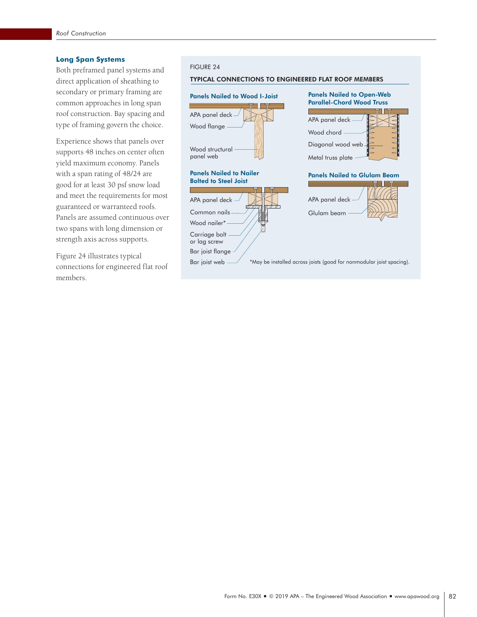# **Long Span Systems**

Both preframed panel systems and direct application of sheathing to secondary or primary framing are common approaches in long span roof construction. Bay spacing and type of framing govern the choice.

Experience shows that panels over supports 48 inches on center often yield maximum economy. Panels with a span rating of 48/24 are good for at least 30 psf snow load and meet the requirements for most guaranteed or warranteed roofs. Panels are assumed continuous over two spans with long dimension or strength axis across supports.

Figure 24 illustrates typical connections for engineered flat roof members.

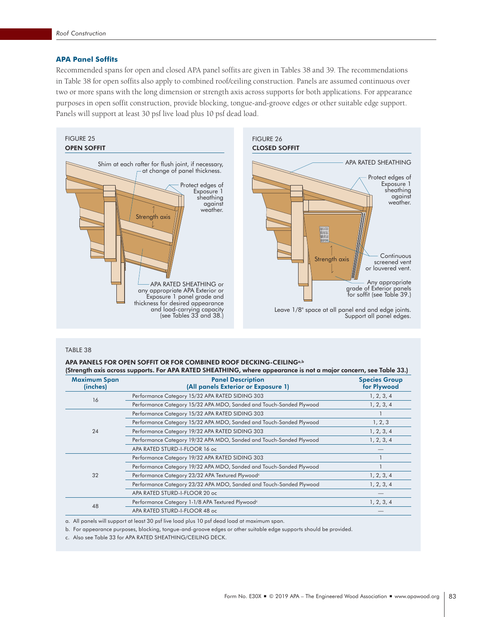# **APA Panel Soffits**

Recommended spans for open and closed APA panel soffits are given in Tables 38 and 39. The recommendations in Table 38 for open soffits also apply to combined roof/ceiling construction. Panels are assumed continuous over two or more spans with the long dimension or strength axis across supports for both applications. For appearance purposes in open soffit construction, provide blocking, tongue-and-groove edges or other suitable edge support. Panels will support at least 30 psf live load plus 10 psf dead load.



#### TABLE 38

# APA PANELS FOR OPEN SOFFIT OR FOR COMBINED ROOF DECKING-CEILINGa,b

| (Strength axis across supports. For APA RATED SHEATHING, where appearance is not a major concern, see Table 33.) |                                                                     |                                     |  |  |  |  |  |  |
|------------------------------------------------------------------------------------------------------------------|---------------------------------------------------------------------|-------------------------------------|--|--|--|--|--|--|
| <b>Maximum Span</b><br>(inches)                                                                                  | <b>Panel Description</b><br>(All panels Exterior or Exposure 1)     | <b>Species Group</b><br>for Plywood |  |  |  |  |  |  |
| 16                                                                                                               | Performance Category 15/32 APA RATED SIDING 303                     | 1, 2, 3, 4                          |  |  |  |  |  |  |
|                                                                                                                  | Performance Category 15/32 APA MDO, Sanded and Touch-Sanded Plywood | 1, 2, 3, 4                          |  |  |  |  |  |  |
|                                                                                                                  | Performance Category 15/32 APA RATED SIDING 303                     |                                     |  |  |  |  |  |  |
|                                                                                                                  | Performance Category 15/32 APA MDO, Sanded and Touch-Sanded Plywood | 1, 2, 3                             |  |  |  |  |  |  |
| 24                                                                                                               | Performance Category 19/32 APA RATED SIDING 303                     | 1, 2, 3, 4                          |  |  |  |  |  |  |
|                                                                                                                  | Performance Category 19/32 APA MDO, Sanded and Touch-Sanded Plywood | 1, 2, 3, 4                          |  |  |  |  |  |  |
|                                                                                                                  | APA RATED STURD-I-FLOOR 16 oc                                       |                                     |  |  |  |  |  |  |
|                                                                                                                  | Performance Category 19/32 APA RATED SIDING 303                     |                                     |  |  |  |  |  |  |
|                                                                                                                  | Performance Category 19/32 APA MDO, Sanded and Touch-Sanded Plywood |                                     |  |  |  |  |  |  |
| 32                                                                                                               | Performance Category 23/32 APA Textured Plywood <sup>c</sup>        | 1, 2, 3, 4                          |  |  |  |  |  |  |
|                                                                                                                  | Performance Category 23/32 APA MDO, Sanded and Touch-Sanded Plywood | 1, 2, 3, 4                          |  |  |  |  |  |  |
|                                                                                                                  | APA RATED STURD-I-FLOOR 20 oc                                       |                                     |  |  |  |  |  |  |
|                                                                                                                  | Performance Category 1-1/8 APA Textured Plywood <sup>c</sup>        | 1, 2, 3, 4                          |  |  |  |  |  |  |
| 48                                                                                                               | APA RATED STURD-I-FLOOR 48 oc                                       |                                     |  |  |  |  |  |  |

a. All panels will support at least 30 psf live load plus 10 psf dead load at maximum span.

b. For appearance purposes, blocking, tongue-and-groove edges or other suitable edge supports should be provided.

c. Also see Table 33 for APA RATED SHEATHING/CEILING DECK.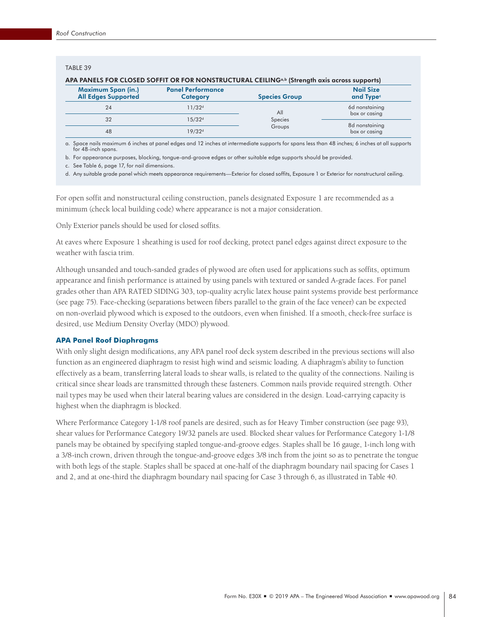## TABLE 39

| APA PANELS FOR CLOSED SOFFIT OR FOR NONSTRUCTURAL CEILING <sup>a,b</sup> (Strength axis across supports) |                                             |                      |                                           |  |  |  |  |  |  |
|----------------------------------------------------------------------------------------------------------|---------------------------------------------|----------------------|-------------------------------------------|--|--|--|--|--|--|
| <b>Maximum Span (in.)</b><br><b>All Edges Supported</b>                                                  | <b>Panel Performance</b><br><b>Category</b> | <b>Species Group</b> | <b>Nail Size</b><br>and Type <sup>c</sup> |  |  |  |  |  |  |
| 24                                                                                                       | 11/32 <sup>d</sup>                          | All                  | 6d nonstaining<br>box or casing           |  |  |  |  |  |  |
| 32                                                                                                       | 15/32 <sup>d</sup>                          | Species              | 8d nonstaining                            |  |  |  |  |  |  |
| 48                                                                                                       | 19/32 <sup>d</sup>                          | Groups               | box or casing                             |  |  |  |  |  |  |

a. Space nails maximum 6 inches at panel edges and 12 inches at intermediate supports for spans less than 48 inches; 6 inches at all supports

for 48-inch spans. b. For appearance purposes, blocking, tongue-and-groove edges or other suitable edge supports should be provided.

c. See Table 6, page 17, for nail dimensions.

d. Any suitable grade panel which meets appearance requirements—Exterior for closed soffits, Exposure 1 or Exterior for nonstructural ceiling.

For open soffit and nonstructural ceiling construction, panels designated Exposure 1 are recommended as a minimum (check local building code) where appearance is not a major consideration.

Only Exterior panels should be used for closed soffits.

At eaves where Exposure 1 sheathing is used for roof decking, protect panel edges against direct exposure to the weather with fascia trim.

Although unsanded and touch-sanded grades of plywood are often used for applications such as soffits, optimum appearance and finish performance is attained by using panels with textured or sanded A-grade faces. For panel grades other than APA RATED SIDING 303, top-quality acrylic latex house paint systems provide best performance (see page 75). Face-checking (separations between fibers parallel to the grain of the face veneer) can be expected on non-overlaid plywood which is exposed to the outdoors, even when finished. If a smooth, check-free surface is desired, use Medium Density Overlay (MDO) plywood.

# **APA Panel Roof Diaphragms**

With only slight design modifications, any APA panel roof deck system described in the previous sections will also function as an engineered diaphragm to resist high wind and seismic loading. A diaphragm's ability to function effectively as a beam, transferring lateral loads to shear walls, is related to the quality of the connections. Nailing is critical since shear loads are transmitted through these fasteners. Common nails provide required strength. Other nail types may be used when their lateral bearing values are considered in the design. Load-carrying capacity is highest when the diaphragm is blocked.

Where Performance Category 1-1/8 roof panels are desired, such as for Heavy Timber construction (see page 93), shear values for Performance Category 19/32 panels are used. Blocked shear values for Performance Category 1-1/8 panels may be obtained by specifying stapled tongue-and-groove edges. Staples shall be 16 gauge, 1-inch long with a 3/8-inch crown, driven through the tongue-and-groove edges 3/8 inch from the joint so as to penetrate the tongue with both legs of the staple. Staples shall be spaced at one-half of the diaphragm boundary nail spacing for Cases 1 and 2, and at one-third the diaphragm boundary nail spacing for Case 3 through 6, as illustrated in Table 40.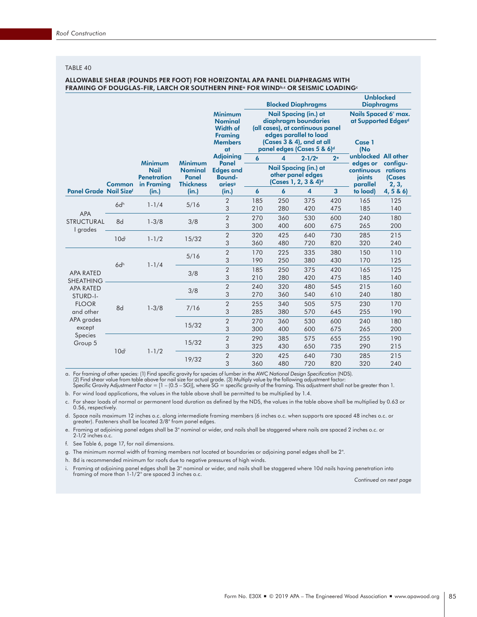TABLE 40

### ALLOWABLE SHEAR (POUNDS PER FOOT) FOR HORIZONTAL APA PANEL DIAPHRAGMS WITH FRAMING OF DOUGLAS-FIR, LARCH OR SOUTHERN PINE<sup>a</sup> FOR WINDb,c OR SEISMIC LOADING<sup>c</sup>

|                                                         |                  |                                                                   |                                                    |                                                                                               |     |     | <b>Blocked Diaphragms</b>                                                                                                                                                     | <b>Unblocked</b><br><b>Diaphragms</b>                        |                                              |                                               |
|---------------------------------------------------------|------------------|-------------------------------------------------------------------|----------------------------------------------------|-----------------------------------------------------------------------------------------------|-----|-----|-------------------------------------------------------------------------------------------------------------------------------------------------------------------------------|--------------------------------------------------------------|----------------------------------------------|-----------------------------------------------|
|                                                         |                  |                                                                   |                                                    | <b>Minimum</b><br><b>Nominal</b><br><b>Width of</b><br><b>Framing</b><br><b>Members</b><br>at |     |     | <b>Nail Spacing (in.) at</b><br>diaphragm boundaries<br>(all cases), at continuous panel<br>edges parallel to load<br>(Cases 3 & 4), and at all<br>panel edges (Cases 5 & 6)d | Nails Spaced 6" max.<br>at Supported Edgesd<br>Case 1<br>(No |                                              |                                               |
|                                                         |                  |                                                                   | <b>Minimum</b>                                     | <b>Adjoining</b>                                                                              | 6   | 4   | $2 - 1/2$ <sup>e</sup>                                                                                                                                                        | 2 <sup>e</sup>                                               | unblocked All other                          |                                               |
|                                                         | <b>Common</b>    | <b>Minimum</b><br><b>Nail</b><br><b>Penetration</b><br>in Framing | <b>Nominal</b><br><b>Panel</b><br><b>Thickness</b> | <b>Panel</b><br><b>Edges and</b><br><b>Bound-</b><br>aries <sup>9</sup>                       |     |     | <b>Nail Spacing (in.) at</b><br>other panel edges<br>(Cases 1, 2, 3 & 4) <sup>d</sup>                                                                                         |                                                              | edges or<br>continuous<br>ioints<br>parallel | configu-<br>rations<br><b>(Cases</b><br>2, 3, |
| <b>Panel Grade Nail Sizef</b>                           |                  | (in.)                                                             | (in.)                                              | (in.)                                                                                         | 6   | 6   | $\overline{\mathbf{4}}$                                                                                                                                                       | 3                                                            | to load)                                     | 4, 5 & 6                                      |
|                                                         | 6dh<br>8d        | $1 - 1/4$                                                         | 5/16                                               | 2                                                                                             | 185 | 250 | 375                                                                                                                                                                           | 420                                                          | 165                                          | 125                                           |
| <b>APA</b><br>STRUCTURAL                                |                  |                                                                   |                                                    | 3                                                                                             | 210 | 280 | 420                                                                                                                                                                           | 475                                                          | 185                                          | 140                                           |
|                                                         |                  | $1 - 3/8$                                                         | 3/8                                                | $\overline{2}$                                                                                | 270 | 360 | 530                                                                                                                                                                           | 600                                                          | 240                                          | 180                                           |
| I grades                                                |                  |                                                                   |                                                    | 3                                                                                             | 300 | 400 | 600                                                                                                                                                                           | 675                                                          | 265                                          | 200                                           |
|                                                         | 10d <sub>i</sub> | $1 - 1/2$                                                         | 15/32                                              | $\overline{2}$                                                                                | 320 | 425 | 640                                                                                                                                                                           | 730                                                          | 285                                          | 215                                           |
|                                                         |                  |                                                                   |                                                    | 3                                                                                             | 360 | 480 | 720                                                                                                                                                                           | 820                                                          | 320                                          | 240                                           |
|                                                         | 6d <sup>h</sup>  |                                                                   | 5/16                                               | $\overline{2}$                                                                                | 170 | 225 | 335                                                                                                                                                                           | 380                                                          | 150                                          | 110                                           |
|                                                         |                  | $1 - 1/4$                                                         |                                                    | 3                                                                                             | 190 | 250 | 380                                                                                                                                                                           | 430                                                          | 170                                          | 125                                           |
| <b>APA RATED</b>                                        |                  |                                                                   | 3/8                                                | $\overline{2}$                                                                                | 185 | 250 | 375                                                                                                                                                                           | 420                                                          | 165                                          | 125                                           |
| <b>SHEATHING</b>                                        |                  |                                                                   |                                                    | 3                                                                                             | 210 | 280 | 420                                                                                                                                                                           | 475                                                          | 185                                          | 140                                           |
| <b>APA RATED</b>                                        |                  |                                                                   | 3/8                                                | $\overline{2}$                                                                                | 240 | 320 | 480                                                                                                                                                                           | 545                                                          | 215                                          | 160                                           |
| STURD-I-                                                |                  |                                                                   |                                                    | 3                                                                                             | 270 | 360 | 540                                                                                                                                                                           | 610                                                          | 240                                          | 180                                           |
| <b>FLOOR</b>                                            | 8d               | $1 - 3/8$                                                         | 7/16                                               | $\overline{2}$                                                                                | 255 | 340 | 505                                                                                                                                                                           | 575                                                          | 230                                          | 170                                           |
| and other<br>APA grades<br>except<br>Species<br>Group 5 |                  |                                                                   |                                                    | 3                                                                                             | 285 | 380 | 570                                                                                                                                                                           | 645                                                          | 255                                          | 190                                           |
|                                                         |                  |                                                                   | 15/32                                              | $\overline{2}$                                                                                | 270 | 360 | 530                                                                                                                                                                           | 600                                                          | 240                                          | 180                                           |
|                                                         |                  |                                                                   |                                                    | 3                                                                                             | 300 | 400 | 600                                                                                                                                                                           | 675                                                          | 265                                          | 200                                           |
|                                                         |                  |                                                                   | 15/32                                              | $\overline{2}$                                                                                | 290 | 385 | 575                                                                                                                                                                           | 655                                                          | 255                                          | 190                                           |
|                                                         | 10d <sup>i</sup> | $1 - 1/2$                                                         |                                                    | 3                                                                                             | 325 | 430 | 650                                                                                                                                                                           | 735                                                          | 290                                          | 215                                           |
|                                                         |                  |                                                                   | 19/32                                              | $\overline{2}$                                                                                | 320 | 425 | 640                                                                                                                                                                           | 730                                                          | 285                                          | 215                                           |
|                                                         |                  |                                                                   |                                                    | 3                                                                                             | 360 | 480 | 720                                                                                                                                                                           | 820                                                          | 320                                          | 240                                           |

a. For framing of other species: (1) Find specific gravity for species of lumber in the AWC *National Design Specification* (NDS).

(2) Find shear value from table above for nail size for actual grade. (3) Multiply value by the following adjustment factor:<br>Specific Gravity Adjustment Factor = [1 – (0.5 – SG)], where SG = specific gravity of the framing b. For wind load applications, the values in the table above shall be permitted to be multiplied by 1.4.

c. For shear loads of normal or permanent load duration as defined by the NDS, the values in the table above shall be multiplied by 0.63 or 0.56, respectively.

d. Space nails maximum 12 inches o.c. along intermediate framing members (6 inches o.c. when supports are spaced 48 inches o.c. or<br>greater). Fasteners shall be located 3/8" from panel edges.

e. Framing at adjoining panel edges shall be 3" nominal or wider, and nails shall be staggered where nails are spaced 2 inches o.c. or 2-1/2 inches o.c.

f. See Table 6, page 17, for nail dimensions.

g. The minimum normal width of framing members not located at boundaries or adjoining panel edges shall be 2".

h. 8d is recommended minimum for roofs due to negative pressures of high winds.

i. Framing at adjoining panel edges shall be 3" nominal or wider, and nails shall be staggered where 10d nails having penetration into framing of more than 1-1/2" are spaced 3 inches o.c.

*Continued on next page*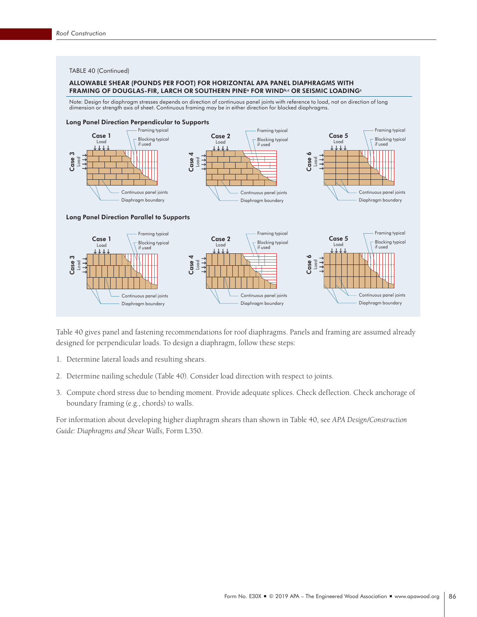### TABLE 40 (Continued)

### ALLOWABLE SHEAR (POUNDS PER FOOT) FOR HORIZONTAL APA PANEL DIAPHRAGMS WITH FRAMING OF DOUGLAS-FIR, LARCH OR SOUTHERN PINE<sup>a</sup> FOR WINDb,c OR SEISMIC LOADING<sup>c</sup>

Note: Design for diaphragm stresses depends on direction of continuous panel joints with reference to load, not on direction of long dimension or strength axis of sheet. Continuous framing may be in either direction for blocked diaphragms.



Table 40 gives panel and fastening recommendations for roof diaphragms. Panels and framing are assumed already designed for perpendicular loads. To design a diaphragm, follow these steps:

- 1. Determine lateral loads and resulting shears.
- 2. Determine nailing schedule (Table 40). Consider load direction with respect to joints.
- 3. Compute chord stress due to bending moment. Provide adequate splices. Check deflection. Check anchorage of boundary framing (e.g., chords) to walls.

For information about developing higher diaphragm shears than shown in Table 40, see *APA Design/Construction Guide: Diaphragms and Shear Walls,* Form L350.